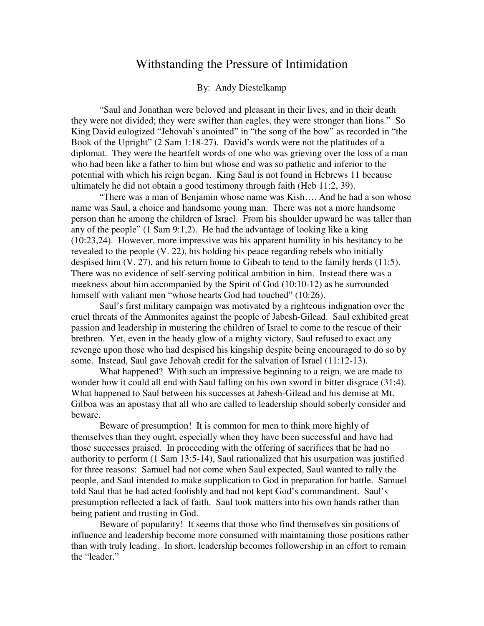## Withstanding the Pressure of Intimidation

## By: Andy Diestelkamp

"Saul and Jonathan were beloved and pleasant in their lives, and in their death they were not divided; they were swifter than eagles, they were stronger than lions." So King David eulogized "Jehovah's anointed" in "the song of the bow" as recorded in "the Book of the Upright" (2 Sam 1:18-27). David's words were not the platitudes of a diplomat. They were the heartfelt words of one who was grieving over the loss of a man who had been like a father to him but whose end was so pathetic and inferior to the potential with which his reign began. King Saul is not found in Hebrews 11 because ultimately he did not obtain a good testimony through faith (Heb 11:2, 39).

 "There was a man of Benjamin whose name was Kish…. And he had a son whose name was Saul, a choice and handsome young man. There was not a more handsome person than he among the children of Israel. From his shoulder upward he was taller than any of the people" (1 Sam 9:1,2). He had the advantage of looking like a king (10:23,24). However, more impressive was his apparent humility in his hesitancy to be revealed to the people (V. 22), his holding his peace regarding rebels who initially despised him (V. 27), and his return home to Gibeah to tend to the family herds (11:5). There was no evidence of self-serving political ambition in him. Instead there was a meekness about him accompanied by the Spirit of God (10:10-12) as he surrounded himself with valiant men "whose hearts God had touched" (10:26).

 Saul's first military campaign was motivated by a righteous indignation over the cruel threats of the Ammonites against the people of Jabesh-Gilead. Saul exhibited great passion and leadership in mustering the children of Israel to come to the rescue of their brethren. Yet, even in the heady glow of a mighty victory, Saul refused to exact any revenge upon those who had despised his kingship despite being encouraged to do so by some. Instead, Saul gave Jehovah credit for the salvation of Israel (11:12-13).

 What happened? With such an impressive beginning to a reign, we are made to wonder how it could all end with Saul falling on his own sword in bitter disgrace (31:4). What happened to Saul between his successes at Jabesh-Gilead and his demise at Mt. Gilboa was an apostasy that all who are called to leadership should soberly consider and beware.

 Beware of presumption! It is common for men to think more highly of themselves than they ought, especially when they have been successful and have had those successes praised. In proceeding with the offering of sacrifices that he had no authority to perform (1 Sam 13:5-14), Saul rationalized that his usurpation was justified for three reasons: Samuel had not come when Saul expected, Saul wanted to rally the people, and Saul intended to make supplication to God in preparation for battle. Samuel told Saul that he had acted foolishly and had not kept God's commandment. Saul's presumption reflected a lack of faith. Saul took matters into his own hands rather than being patient and trusting in God.

 Beware of popularity! It seems that those who find themselves sin positions of influence and leadership become more consumed with maintaining those positions rather than with truly leading. In short, leadership becomes followership in an effort to remain the "leader."